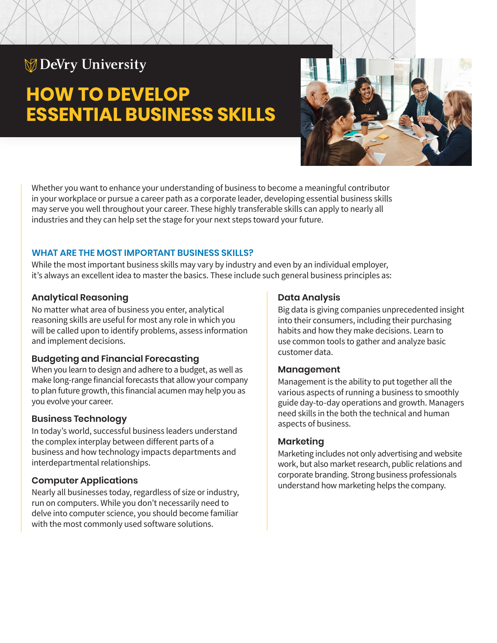# **DeVry University**

# **HOW TO DEVELOP ESSENTIAL BUSINESS SKILLS**



Whether you want to enhance your understanding of business to become a meaningful contributor in your workplace or pursue a career path as a corporate leader, developing essential business skills may serve you well throughout your career. These highly transferable skills can apply to nearly all industries and they can help set the stage for your next steps toward your future.

### **WHAT ARE THE MOST IMPORTANT BUSINESS SKILLS?**

While the most important business skills may vary by industry and even by an individual employer, it's always an excellent idea to master the basics. These include such general business principles as:

#### **Analytical Reasoning**

No matter what area of business you enter, analytical reasoning skills are useful for most any role in which you will be called upon to identify problems, assess information and implement decisions.

#### **Budgeting and Financial Forecasting**

When you learn to design and adhere to a budget, as well as make long-range financial forecasts that allow your company to plan future growth, this financial acumen may help you as you evolve your career.

# **Business Technology**

In today's world, successful business leaders understand the complex interplay between different parts of a business and how technology impacts departments and interdepartmental relationships.

# **Computer Applications**

Nearly all businesses today, regardless of size or industry, run on computers. While you don't necessarily need to delve into computer science, you should become familiar with the most commonly used software solutions.

# **Data Analysis**

Big data is giving companies unprecedented insight into their consumers, including their purchasing habits and how they make decisions. Learn to use common tools to gather and analyze basic customer data.

#### **Management**

Management is the ability to put together all the various aspects of running a business to smoothly guide day-to-day operations and growth. Managers need skills in the both the technical and human aspects of business.

# **Marketing**

Marketing includes not only advertising and website work, but also market research, public relations and corporate branding. Strong business professionals understand how marketing helps the company.